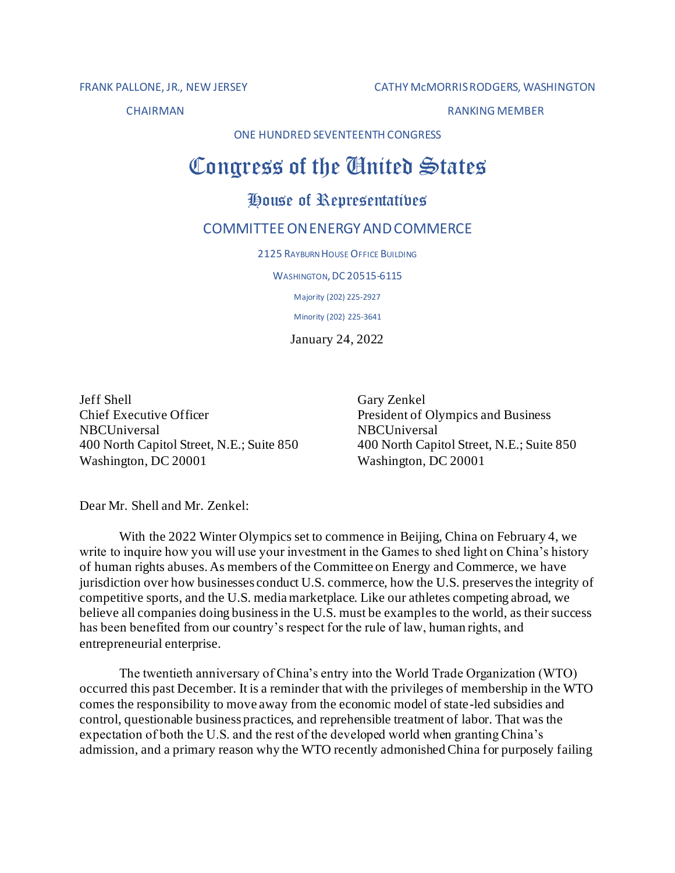FRANK PALLONE, JR., NEW JERSEY CATHY McMORRIS RODGERS, WASHINGTON

CHAIRMAN RANKING MEMBER

ONE HUNDRED SEVENTEENTH CONGRESS

## Congress of the Gnited States

## House of Representatives

## COMMITTEEONENERGYANDCOMMERCE

2125 RAYBURN HOUSE OFFICE BUILDING

**WASHINGTON, DC 20515-6115** 

Majority (202) 225-2927

Minority (202) 225-3641

January 24, 2022

Jeff Shell Gary Zenkel Chief Executive Officer **President of Olympics and Business** NBCUniversal NBCUniversal 400 North Capitol Street, N.E.; Suite 850 400 North Capitol Street, N.E.; Suite 850 Washington, DC 20001 Washington, DC 20001

Dear Mr. Shell and Mr. Zenkel:

With the 2022 Winter Olympics set to commence in Beijing, China on February 4, we write to inquire how you will use your investment in the Games to shed light on China's history of human rights abuses. As members of the Committee on Energy and Commerce, we have jurisdiction over how businesses conduct U.S. commerce, how the U.S. preserves the integrity of competitive sports, and the U.S. media marketplace. Like our athletes competing abroad, we believe all companies doing business in the U.S. must be examples to the world, as their success has been benefited from our country's respect for the rule of law, human rights, and entrepreneurial enterprise.

The twentieth anniversary of China's entry into the World Trade Organization (WTO) occurred this past December. It is a reminder that with the privileges of membership in the WTO comes the responsibility to move away from the economic model of state-led subsidies and control, questionable business practices, and reprehensible treatment of labor. That was the expectation of both the U.S. and the rest of the developed world when granting China's admission, and a primary reason why the WTO recently admonished China for purposely failing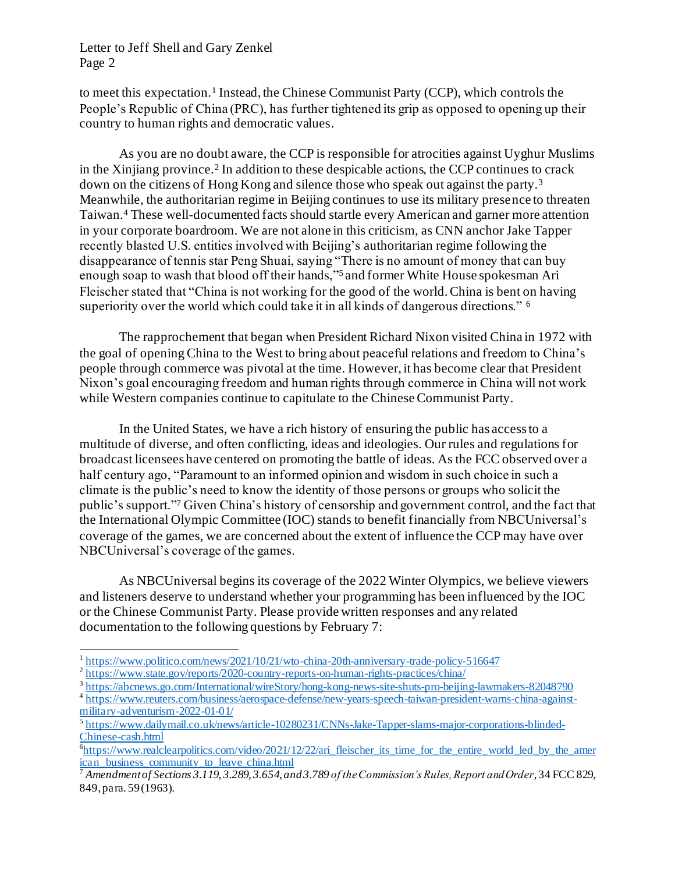## Letter to Jeff Shell and Gary Zenkel Page 2

to meet this expectation.<sup>1</sup> Instead, the Chinese Communist Party (CCP), which controls the People's Republic of China (PRC), has further tightened its grip as opposed to opening up their country to human rights and democratic values.

As you are no doubt aware, the CCP is responsible for atrocities against Uyghur Muslims in the Xinjiang province.<sup>2</sup> In addition to these despicable actions, the CCP continues to crack down on the citizens of Hong Kong and silence those who speak out against the party.<sup>3</sup> Meanwhile, the authoritarian regime in Beijing continues to use its military presence to threaten Taiwan.<sup>4</sup> These well-documented facts should startle every American and garner more attention in your corporate boardroom. We are not alone in this criticism, as CNN anchor Jake Tapper recently blasted U.S. entities involved with Beijing's authoritarian regime following the disappearance of tennis star Peng Shuai, saying "There is no amount of money that can buy enough soap to wash that blood off their hands,"<sup>5</sup> and former White House spokesman Ari Fleischer stated that "China is not working for the good of the world. China is bent on having superiority over the world which could take it in all kinds of dangerous directions." <sup>6</sup>

The rapprochement that began when President Richard Nixon visited China in 1972 with the goal of opening China to the West to bring about peaceful relations and freedom to China's people through commerce was pivotal at the time. However, it has become clear that President Nixon's goal encouraging freedom and human rights through commerce in China will not work while Western companies continue to capitulate to the Chinese Communist Party.

In the United States, we have a rich history of ensuring the public has access to a multitude of diverse, and often conflicting, ideas and ideologies. Our rules and regulations for broadcast licensees have centered on promoting the battle of ideas. As the FCC observed over a half century ago, "Paramount to an informed opinion and wisdom in such choice in such a climate is the public's need to know the identity of those persons or groups who solicit the public's support."<sup>7</sup> Given China's history of censorship and government control, and the fact that the International Olympic Committee (IOC) stands to benefit financially from NBCUniversal's coverage of the games, we are concerned about the extent of influence the CCP may have over NBCUniversal's coverage of the games.

As NBCUniversal begins its coverage of the 2022 Winter Olympics, we believe viewers and listeners deserve to understand whether your programming has been influenced by the IOC or the Chinese Communist Party. Please provide written responses and any related documentation to the following questions by February 7:

<sup>&</sup>lt;sup>1</sup> <https://www.politico.com/news/2021/10/21/wto-china-20th-anniversary-trade-policy-516647>

<sup>&</sup>lt;sup>2</sup> <https://www.state.gov/reports/2020-country-reports-on-human-rights-practices/china/>

<sup>&</sup>lt;sup>3</sup> <https://abcnews.go.com/International/wireStory/hong-kong-news-site-shuts-pro-beijing-lawmakers-82048790>

<sup>&</sup>lt;sup>4</sup> [https://www.reuters.com/business/aerospace-defense/new-years-speech-taiwan-president-warns-china-against](https://www.reuters.com/business/aerospace-defense/new-years-speech-taiwan-president-warns-china-against-military-adventurism-2022-01-01/)[military-adventurism-2022-01-01/](https://www.reuters.com/business/aerospace-defense/new-years-speech-taiwan-president-warns-china-against-military-adventurism-2022-01-01/)

<sup>5</sup> [https://www.dailymail.co.uk/news/article-10280231/CNNs-Jake-Tapper-slams-major-corporations-blinded-](https://www.dailymail.co.uk/news/article-10280231/CNNs-Jake-Tapper-slams-major-corporations-blinded-Chinese-cash.html)[Chinese-cash.html](https://www.dailymail.co.uk/news/article-10280231/CNNs-Jake-Tapper-slams-major-corporations-blinded-Chinese-cash.html)

<sup>&</sup>lt;sup>6</sup>[https://www.realclearpolitics.com/video/2021/12/22/ari\\_fleischer\\_its\\_time\\_for\\_the\\_entire\\_world\\_led\\_by\\_the\\_amer](https://www.realclearpolitics.com/video/2021/12/22/ari_fleischer_its_time_for_the_entire_world_led_by_the_american_business_community_to_leave_china.html)  $\frac{1}{1}$  [ican\\_business\\_community\\_to\\_leave\\_china.html](https://www.realclearpolitics.com/video/2021/12/22/ari_fleischer_its_time_for_the_entire_world_led_by_the_american_business_community_to_leave_china.html)

<sup>7</sup> *Amendment of Sections 3.119, 3.289, 3.654, and 3.789 of the Commission's Rules, Report and Order*, 34 FCC 829, 849, para. 59 (1963).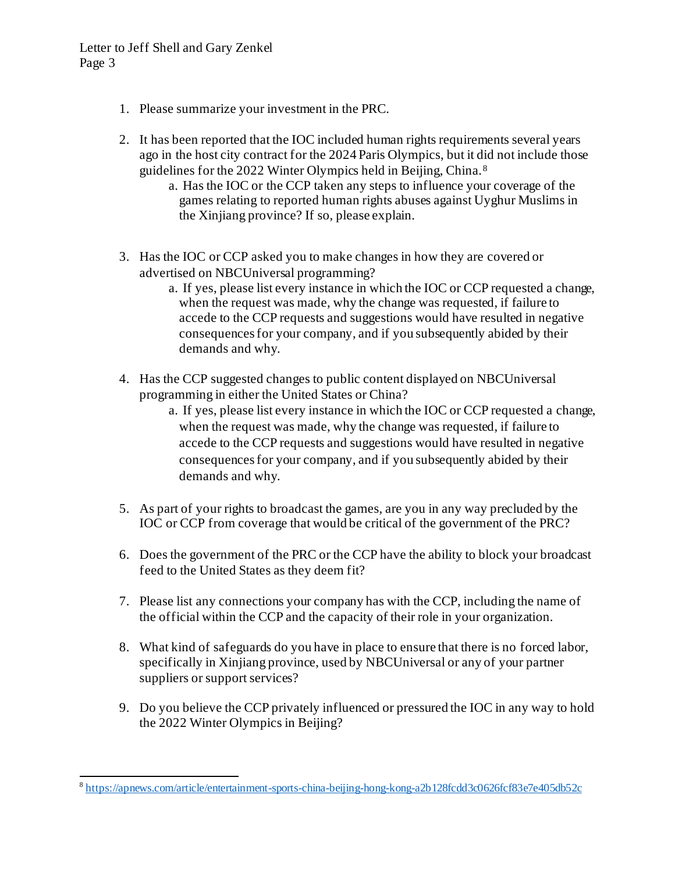- 1. Please summarize your investment in the PRC.
- 2. It has been reported that the IOC included human rights requirements several years ago in the host city contract for the 2024 Paris Olympics, but it did not include those guidelines for the 2022 Winter Olympics held in Beijing, China.<sup>8</sup>
	- a. Has the IOC or the CCP taken any steps to influence your coverage of the games relating to reported human rights abuses against Uyghur Muslims in the Xinjiang province? If so, please explain.
- 3. Has the IOC or CCP asked you to make changes in how they are covered or advertised on NBCUniversal programming?
	- a. If yes, please list every instance in which the IOC or CCP requested a change, when the request was made, why the change was requested, if failure to accede to the CCP requests and suggestions would have resulted in negative consequences for your company, and if you subsequently abided by their demands and why.
- 4. Has the CCP suggested changes to public content displayed on NBCUniversal programming in either the United States or China?
	- a. If yes, please list every instance in which the IOC or CCP requested a change, when the request was made, why the change was requested, if failure to accede to the CCP requests and suggestions would have resulted in negative consequences for your company, and if you subsequently abided by their demands and why.
- 5. As part of your rights to broadcast the games, are you in any way precluded by the IOC or CCP from coverage that would be critical of the government of the PRC?
- 6. Does the government of the PRC or the CCP have the ability to block your broadcast feed to the United States as they deem fit?
- 7. Please list any connections your company has with the CCP, including the name of the official within the CCP and the capacity of their role in your organization.
- 8. What kind of safeguards do you have in place to ensure that there is no forced labor, specifically in Xinjiang province, used by NBCUniversal or any of your partner suppliers or support services?
- 9. Do you believe the CCP privately influenced or pressured the IOC in any way to hold the 2022 Winter Olympics in Beijing?

<sup>&</sup>lt;sup>8</sup> <https://apnews.com/article/entertainment-sports-china-beijing-hong-kong-a2b128fcdd3c0626fcf83e7e405db52c>